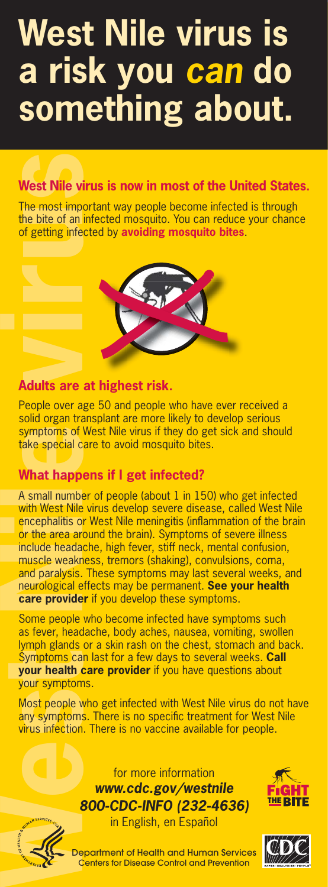# **West Nile virus is a risk you** *can* **do something about.**

## **West Nile virus is now in most of the United States.**

The most important way people become infected is through the bite of an infected mosquito. You can reduce your chance of getting infected by **avoiding mosquito bites**.



### **Adults are at highest risk.**

People over age 50 and people who have ever received a solid organ transplant are more likely to develop serious symptoms of West Nile virus if they do get sick and should take special care to avoid mosquito bites.

## **What happens if I get infected?**

A small number of people (about 1 in 150) who get infected with West Nile virus develop severe disease, called West Nile encephalitis or West Nile meningitis (inflammation of the brain or the area around the brain). Symptoms of severe illness include headache, high fever, stiff neck, mental confusion, muscle weakness, tremors (shaking), convulsions, coma, and paralysis. These symptoms may last several weeks, and neurological effects may be permanent. **See your health care provider** if you develop these symptoms.

Some people who become infected have symptoms such as fever, headache, body aches, nausea, vomiting, swollen lymph glands or a skin rash on the chest, stomach and back. Symptoms can last for a few days to several weeks. **Call your health care provider** if you have questions about your symptoms.

Most people who get infected with West Nile virus do not have any symptoms. There is no specific treatment for West Nile virus infection. There is no vaccine available for people.







in English, en Español

Department of Health and Human Services Centers for Disease Control and Prevention